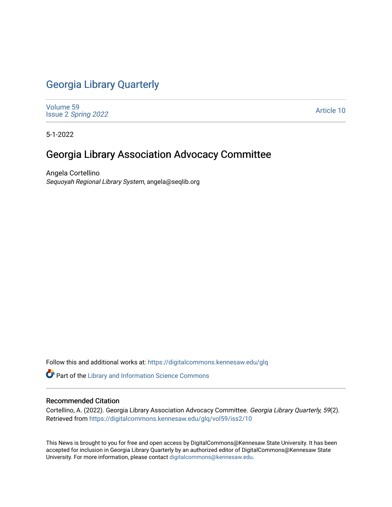## [Georgia Library Quarterly](https://digitalcommons.kennesaw.edu/glq)

[Volume 59](https://digitalcommons.kennesaw.edu/glq/vol59) Issue 2 [Spring 2022](https://digitalcommons.kennesaw.edu/glq/vol59/iss2) 

[Article 10](https://digitalcommons.kennesaw.edu/glq/vol59/iss2/10) 

5-1-2022

## Georgia Library Association Advocacy Committee

Angela Cortellino Sequoyah Regional Library System, angela@seqlib.org

Follow this and additional works at: [https://digitalcommons.kennesaw.edu/glq](https://digitalcommons.kennesaw.edu/glq?utm_source=digitalcommons.kennesaw.edu%2Fglq%2Fvol59%2Fiss2%2F10&utm_medium=PDF&utm_campaign=PDFCoverPages) 

Part of the [Library and Information Science Commons](http://network.bepress.com/hgg/discipline/1018?utm_source=digitalcommons.kennesaw.edu%2Fglq%2Fvol59%2Fiss2%2F10&utm_medium=PDF&utm_campaign=PDFCoverPages) 

## Recommended Citation

Cortellino, A. (2022). Georgia Library Association Advocacy Committee. Georgia Library Quarterly, 59(2). Retrieved from [https://digitalcommons.kennesaw.edu/glq/vol59/iss2/10](https://digitalcommons.kennesaw.edu/glq/vol59/iss2/10?utm_source=digitalcommons.kennesaw.edu%2Fglq%2Fvol59%2Fiss2%2F10&utm_medium=PDF&utm_campaign=PDFCoverPages) 

This News is brought to you for free and open access by DigitalCommons@Kennesaw State University. It has been accepted for inclusion in Georgia Library Quarterly by an authorized editor of DigitalCommons@Kennesaw State University. For more information, please contact [digitalcommons@kennesaw.edu.](mailto:digitalcommons@kennesaw.edu)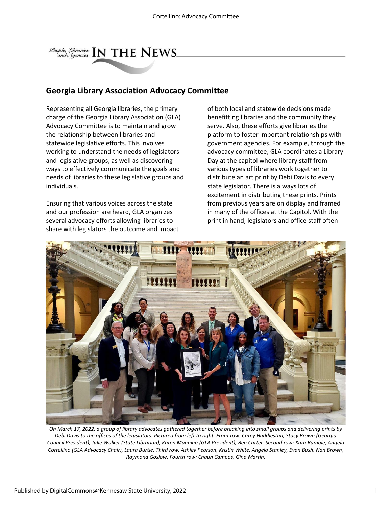

## **Georgia Library Association Advocacy Committee**

Representing all Georgia libraries, the primary charge of the Georgia Library Association (GLA) Advocacy Committee is to maintain and grow the relationship between libraries and statewide legislative efforts. This involves working to understand the needs of legislators and legislative groups, as well as discovering ways to effectively communicate the goals and needs of libraries to these legislative groups and individuals.

Ensuring that various voices across the state and our profession are heard, GLA organizes several advocacy efforts allowing libraries to share with legislators the outcome and impact of both local and statewide decisions made benefitting libraries and the community they serve. Also, these efforts give libraries the platform to foster important relationships with government agencies. For example, through the advocacy committee, GLA coordinates a Library Day at the capitol where library staff from various types of libraries work together to distribute an art print by Debi Davis to every state legislator. There is always lots of excitement in distributing these prints. Prints from previous years are on display and framed in many of the offices at the Capitol. With the print in hand, legislators and office staff often



*On March 17, 2022, a group of library advocates gathered together before breaking into small groups and delivering prints by Debi Davis to the offices of the legislators. Pictured from left to right. Front row: Carey Huddlestun, Stacy Brown (Georgia Council President), Julie Walker (State Librarian), Karen Manning (GLA President), Ben Carter. Second row: Kara Rumble, Angela Cortellino (GLA Advocacy Chair), Laura Burtle. Third row: Ashley Pearson, Kristin White, Angela Stanley, Evan Bush, Nan Brown, Raymond Goslow. Fourth row: Chaun Campos, Gina Martin.*